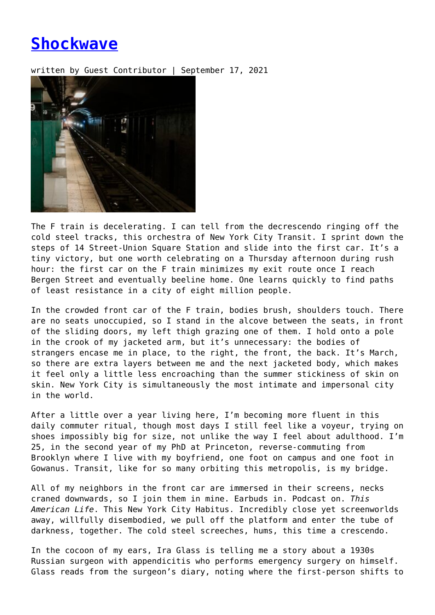## **[Shockwave](https://entropymag.org/shockwave/)**

written by Guest Contributor | September 17, 2021



The F train is decelerating. I can tell from the decrescendo ringing off the cold steel tracks, this orchestra of New York City Transit. I sprint down the steps of 14 Street-Union Square Station and slide into the first car. It's a tiny victory, but one worth celebrating on a Thursday afternoon during rush hour: the first car on the F train minimizes my exit route once I reach Bergen Street and eventually beeline home. One learns quickly to find paths of least resistance in a city of eight million people.

In the crowded front car of the F train, bodies brush, shoulders touch. There are no seats unoccupied, so I stand in the alcove between the seats, in front of the sliding doors, my left thigh grazing one of them. I hold onto a pole in the crook of my jacketed arm, but it's unnecessary: the bodies of strangers encase me in place, to the right, the front, the back. It's March, so there are extra layers between me and the next jacketed body, which makes it feel only a little less encroaching than the summer stickiness of skin on skin. New York City is simultaneously the most intimate and impersonal city in the world.

After a little over a year living here, I'm becoming more fluent in this daily commuter ritual, though most days I still feel like a voyeur, trying on shoes impossibly big for size, not unlike the way I feel about adulthood. I'm 25, in the second year of my PhD at Princeton, reverse-commuting from Brooklyn where I live with my boyfriend, one foot on campus and one foot in Gowanus. Transit, like for so many orbiting this metropolis, is my bridge.

All of my neighbors in the front car are immersed in their screens, necks craned downwards, so I join them in mine. Earbuds in. Podcast on. *This American Life*. This New York City Habitus. Incredibly close yet screenworlds away, willfully disembodied, we pull off the platform and enter the tube of darkness, together. The cold steel screeches, hums, this time a crescendo.

In the cocoon of my ears, Ira Glass is telling me a story about a 1930s Russian surgeon with appendicitis who performs emergency surgery on himself. Glass reads from the surgeon's diary, noting where the first-person shifts to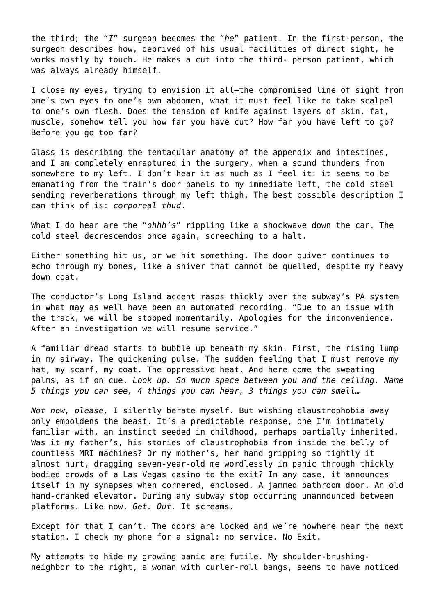the third; the "*I*" surgeon becomes the "*he*" patient. In the first-person, the surgeon describes how, deprived of his usual facilities of direct sight, he works mostly by touch. He makes a cut into the third- person patient, which was always already himself.

I close my eyes, trying to envision it all—the compromised line of sight from one's own eyes to one's own abdomen, what it must feel like to take scalpel to one's own flesh. Does the tension of knife against layers of skin, fat, muscle, somehow tell you how far you have cut? How far you have left to go? Before you go too far?

Glass is describing the tentacular anatomy of the appendix and intestines, and I am completely enraptured in the surgery, when a sound thunders from somewhere to my left. I don't hear it as much as I feel it: it seems to be emanating from the train's door panels to my immediate left, the cold steel sending reverberations through my left thigh. The best possible description I can think of is: *corporeal thud*.

What I do hear are the "*ohhh's*" rippling like a shockwave down the car. The cold steel decrescendos once again, screeching to a halt.

Either something hit us, or we hit something. The door quiver continues to echo through my bones, like a shiver that cannot be quelled, despite my heavy down coat.

The conductor's Long Island accent rasps thickly over the subway's PA system in what may as well have been an automated recording. "Due to an issue with the track, we will be stopped momentarily. Apologies for the inconvenience. After an investigation we will resume service."

A familiar dread starts to bubble up beneath my skin. First, the rising lump in my airway. The quickening pulse. The sudden feeling that I must remove my hat, my scarf, my coat. The oppressive heat. And here come the sweating palms, as if on cue. *Look up. So much space between you and the ceiling. Name 5 things you can see, 4 things you can hear, 3 things you can smell…*

*Not now, please,* I silently berate myself. But wishing claustrophobia away only emboldens the beast. It's a predictable response, one I'm intimately familiar with, an instinct seeded in childhood, perhaps partially inherited. Was it my father's, his stories of claustrophobia from inside the belly of countless MRI machines? Or my mother's, her hand gripping so tightly it almost hurt, dragging seven-year-old me wordlessly in panic through thickly bodied crowds of a Las Vegas casino to the exit? In any case, it announces itself in my synapses when cornered, enclosed. A jammed bathroom door. An old hand-cranked elevator. During any subway stop occurring unannounced between platforms. Like now. *Get. Out.* It screams.

Except for that I can't. The doors are locked and we're nowhere near the next station. I check my phone for a signal: no service. No Exit.

My attempts to hide my growing panic are futile. My shoulder-brushingneighbor to the right, a woman with curler-roll bangs, seems to have noticed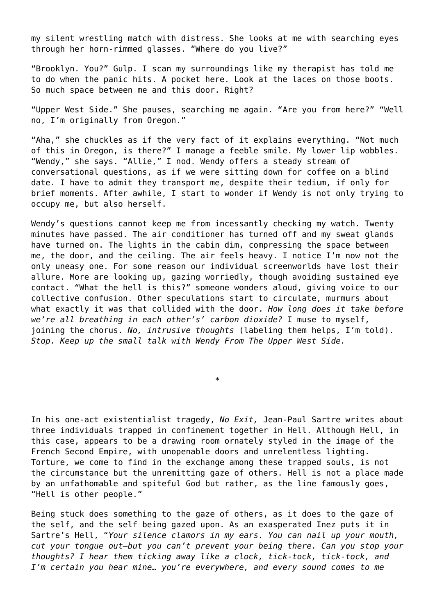my silent wrestling match with distress. She looks at me with searching eyes through her horn-rimmed glasses. "Where do you live?"

"Brooklyn. You?" Gulp. I scan my surroundings like my therapist has told me to do when the panic hits. A pocket here. Look at the laces on those boots. So much space between me and this door. Right?

"Upper West Side." She pauses, searching me again. "Are you from here?" "Well no, I'm originally from Oregon."

"Aha," she chuckles as if the very fact of it explains everything. "Not much of this in Oregon, is there?" I manage a feeble smile. My lower lip wobbles. "Wendy," she says. "Allie," I nod. Wendy offers a steady stream of conversational questions, as if we were sitting down for coffee on a blind date. I have to admit they transport me, despite their tedium, if only for brief moments. After awhile, I start to wonder if Wendy is not only trying to occupy me, but also herself.

Wendy's questions cannot keep me from incessantly checking my watch. Twenty minutes have passed. The air conditioner has turned off and my sweat glands have turned on. The lights in the cabin dim, compressing the space between me, the door, and the ceiling. The air feels heavy. I notice I'm now not the only uneasy one. For some reason our individual screenworlds have lost their allure. More are looking up, gazing worriedly, though avoiding sustained eye contact. "What the hell is this?" someone wonders aloud, giving voice to our collective confusion. Other speculations start to circulate, murmurs about what exactly it was that collided with the door. *How long does it take before we're all breathing in each other's' carbon dioxide?* I muse to myself, joining the chorus. *No, intrusive thoughts* (labeling them helps, I'm told). *Stop. Keep up the small talk with Wendy From The Upper West Side.*

In his one-act existentialist tragedy, *No Exit,* Jean-Paul Sartre writes about three individuals trapped in confinement together in Hell. Although Hell, in this case, appears to be a drawing room ornately styled in the image of the French Second Empire, with unopenable doors and unrelentless lighting. Torture, we come to find in the exchange among these trapped souls, is not the circumstance but the unremitting gaze of others. Hell is not a place made by an unfathomable and spiteful God but rather, as the line famously goes, "Hell is other people."

\*

Being stuck does something to the gaze of others, as it does to the gaze of the self, and the self being gazed upon. As an exasperated Inez puts it in Sartre's Hell, "*Your silence clamors in my ears. You can nail up your mouth, cut your tongue out—but you can't prevent your being there. Can you stop your thoughts? I hear them ticking away like a clock, tick-tock, tick-tock, and I'm certain you hear mine… you're everywhere, and every sound comes to me*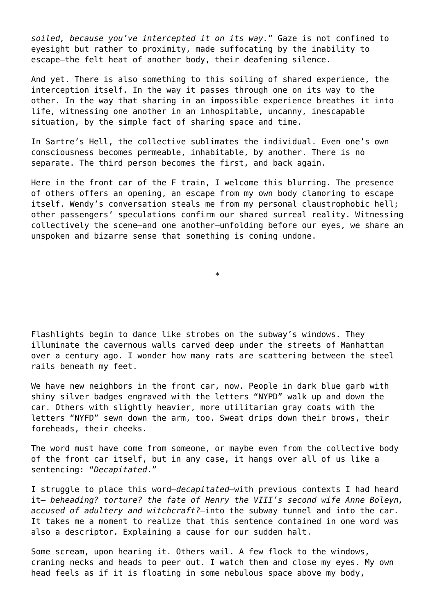*soiled, because you've intercepted it on its way.*" Gaze is not confined to eyesight but rather to proximity, made suffocating by the inability to escape—the felt heat of another body, their deafening silence.

And yet. There is also something to this soiling of shared experience, the interception itself. In the way it passes through one on its way to the other. In the way that sharing in an impossible experience breathes it into life, witnessing one another in an inhospitable, uncanny, inescapable situation, by the simple fact of sharing space and time.

In Sartre's Hell, the collective sublimates the individual. Even one's own consciousness becomes permeable, inhabitable, by another. There is no separate. The third person becomes the first, and back again.

Here in the front car of the F train, I welcome this blurring. The presence of others offers an opening, an escape from my own body clamoring to escape itself. Wendy's conversation steals me from my personal claustrophobic hell; other passengers' speculations confirm our shared surreal reality. Witnessing collectively the scene—and one another—unfolding before our eyes, we share an unspoken and bizarre sense that something is coming undone.

\*

Flashlights begin to dance like strobes on the subway's windows. They illuminate the cavernous walls carved deep under the streets of Manhattan over a century ago. I wonder how many rats are scattering between the steel rails beneath my feet.

We have new neighbors in the front car, now. People in dark blue garb with shiny silver badges engraved with the letters "NYPD" walk up and down the car. Others with slightly heavier, more utilitarian gray coats with the letters "NYFD" sewn down the arm, too. Sweat drips down their brows, their foreheads, their cheeks.

The word must have come from someone, or maybe even from the collective body of the front car itself, but in any case, it hangs over all of us like a sentencing: "*Decapitated*."

I struggle to place this word—*decapitated*—with previous contexts I had heard it— *beheading? torture? the fate of Henry the VIII's second wife Anne Boleyn, accused of adultery and witchcraft?*—into the subway tunnel and into the car. It takes me a moment to realize that this sentence contained in one word was also a descriptor. Explaining a cause for our sudden halt.

Some scream, upon hearing it. Others wail. A few flock to the windows, craning necks and heads to peer out. I watch them and close my eyes. My own head feels as if it is floating in some nebulous space above my body,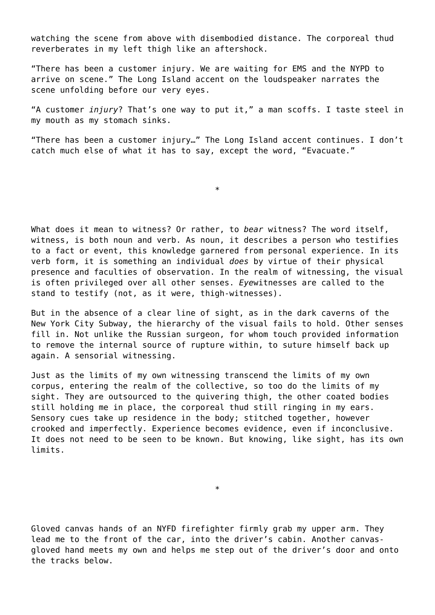watching the scene from above with disembodied distance. The corporeal thud reverberates in my left thigh like an aftershock.

"There has been a customer injury. We are waiting for EMS and the NYPD to arrive on scene." The Long Island accent on the loudspeaker narrates the scene unfolding before our very eyes.

"A customer *injury*? That's one way to put it," a man scoffs. I taste steel in my mouth as my stomach sinks.

"There has been a customer injury…" The Long Island accent continues. I don't catch much else of what it has to say, except the word, "Evacuate."

\*

What does it mean to witness? Or rather, to *bear* witness? The word itself, witness, is both noun and verb. As noun, it describes a person who testifies to a fact or event, this knowledge garnered from personal experience. In its verb form, it is something an individual *does* by virtue of their physical presence and faculties of observation. In the realm of witnessing, the visual is often privileged over all other senses. *Eye*witnesses are called to the stand to testify (not, as it were, thigh-witnesses).

But in the absence of a clear line of sight, as in the dark caverns of the New York City Subway, the hierarchy of the visual fails to hold. Other senses fill in. Not unlike the Russian surgeon, for whom touch provided information to remove the internal source of rupture within, to suture himself back up again. A sensorial witnessing.

Just as the limits of my own witnessing transcend the limits of my own corpus, entering the realm of the collective, so too do the limits of my sight. They are outsourced to the quivering thigh, the other coated bodies still holding me in place, the corporeal thud still ringing in my ears. Sensory cues take up residence in the body; stitched together, however crooked and imperfectly. Experience becomes evidence, even if inconclusive. It does not need to be seen to be known. But knowing, like sight, has its own limits.

Gloved canvas hands of an NYFD firefighter firmly grab my upper arm. They lead me to the front of the car, into the driver's cabin. Another canvasgloved hand meets my own and helps me step out of the driver's door and onto the tracks below.

 $\ast$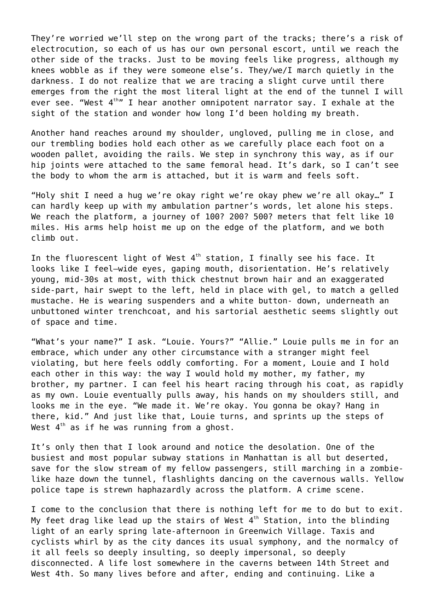They're worried we'll step on the wrong part of the tracks; there's a risk of electrocution, so each of us has our own personal escort, until we reach the other side of the tracks. Just to be moving feels like progress, although my knees wobble as if they were someone else's. They/we/I march quietly in the darkness. I do not realize that we are tracing a slight curve until there emerges from the right the most literal light at the end of the tunnel I will ever see. "West  $4<sup>th</sup>$ " I hear another omnipotent narrator say. I exhale at the sight of the station and wonder how long I'd been holding my breath.

Another hand reaches around my shoulder, ungloved, pulling me in close, and our trembling bodies hold each other as we carefully place each foot on a wooden pallet, avoiding the rails. We step in synchrony this way, as if our hip joints were attached to the same femoral head. It's dark, so I can't see the body to whom the arm is attached, but it is warm and feels soft.

"Holy shit I need a hug we're okay right we're okay phew we're all okay…" I can hardly keep up with my ambulation partner's words, let alone his steps. We reach the platform, a journey of 100? 200? 500? meters that felt like 10 miles. His arms help hoist me up on the edge of the platform, and we both climb out.

In the fluorescent light of West  $4<sup>th</sup>$  station, I finally see his face. It looks like I feel—wide eyes, gaping mouth, disorientation. He's relatively young, mid-30s at most, with thick chestnut brown hair and an exaggerated side-part, hair swept to the left, held in place with gel, to match a gelled mustache. He is wearing suspenders and a white button- down, underneath an unbuttoned winter trenchcoat, and his sartorial aesthetic seems slightly out of space and time.

"What's your name?" I ask. "Louie. Yours?" "Allie." Louie pulls me in for an embrace, which under any other circumstance with a stranger might feel violating, but here feels oddly comforting. For a moment, Louie and I hold each other in this way: the way I would hold my mother, my father, my brother, my partner. I can feel his heart racing through his coat, as rapidly as my own. Louie eventually pulls away, his hands on my shoulders still, and looks me in the eye. "We made it. We're okay. You gonna be okay? Hang in there, kid." And just like that, Louie turns, and sprints up the steps of West  $4<sup>th</sup>$  as if he was running from a ghost.

It's only then that I look around and notice the desolation. One of the busiest and most popular subway stations in Manhattan is all but deserted, save for the slow stream of my fellow passengers, still marching in a zombielike haze down the tunnel, flashlights dancing on the cavernous walls. Yellow police tape is strewn haphazardly across the platform. A crime scene.

I come to the conclusion that there is nothing left for me to do but to exit. My feet drag like lead up the stairs of West  $4<sup>th</sup>$  Station, into the blinding light of an early spring late-afternoon in Greenwich Village. Taxis and cyclists whirl by as the city dances its usual symphony, and the normalcy of it all feels so deeply insulting, so deeply impersonal, so deeply disconnected. A life lost somewhere in the caverns between 14th Street and West 4th. So many lives before and after, ending and continuing. Like a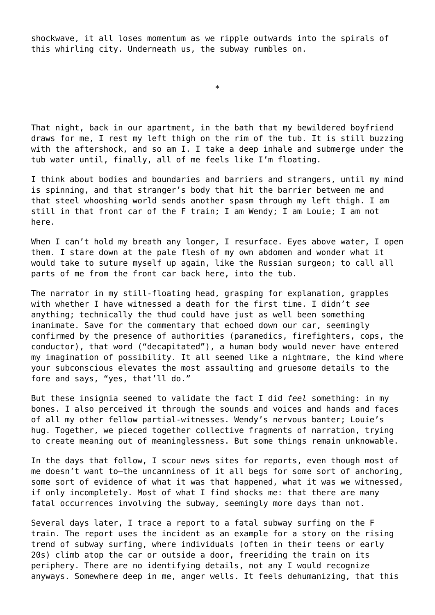shockwave, it all loses momentum as we ripple outwards into the spirals of this whirling city. Underneath us, the subway rumbles on.

\*

That night, back in our apartment, in the bath that my bewildered boyfriend draws for me, I rest my left thigh on the rim of the tub. It is still buzzing with the aftershock, and so am I. I take a deep inhale and submerge under the tub water until, finally, all of me feels like I'm floating.

I think about bodies and boundaries and barriers and strangers, until my mind is spinning, and that stranger's body that hit the barrier between me and that steel whooshing world sends another spasm through my left thigh. I am still in that front car of the F train; I am Wendy; I am Louie; I am not here.

When I can't hold my breath any longer, I resurface. Eyes above water, I open them. I stare down at the pale flesh of my own abdomen and wonder what it would take to suture myself up again, like the Russian surgeon; to call all parts of me from the front car back here, into the tub.

The narrator in my still-floating head, grasping for explanation, grapples with whether I have witnessed a death for the first time. I didn't *see* anything; technically the thud could have just as well been something inanimate. Save for the commentary that echoed down our car, seemingly confirmed by the presence of authorities (paramedics, firefighters, cops, the conductor), that word ("decapitated"), a human body would never have entered my imagination of possibility. It all seemed like a nightmare, the kind where your subconscious elevates the most assaulting and gruesome details to the fore and says, "yes, that'll do."

But these insignia seemed to validate the fact I did *feel* something: in my bones. I also perceived it through the sounds and voices and hands and faces of all my other fellow partial-witnesses. Wendy's nervous banter; Louie's hug. Together, we pieced together collective fragments of narration, trying to create meaning out of meaninglessness. But some things remain unknowable.

In the days that follow, I scour news sites for reports, even though most of me doesn't want to—the uncanniness of it all begs for some sort of anchoring, some sort of evidence of what it was that happened, what it was we witnessed, if only incompletely. Most of what I find shocks me: that there are many fatal occurrences involving the subway, seemingly more days than not.

Several days later, I trace a report to a fatal subway surfing on the F train. The report uses the incident as an example for a story on the rising trend of subway surfing, where individuals (often in their teens or early 20s) climb atop the car or outside a door, freeriding the train on its periphery. There are no identifying details, not any I would recognize anyways. Somewhere deep in me, anger wells. It feels dehumanizing, that this